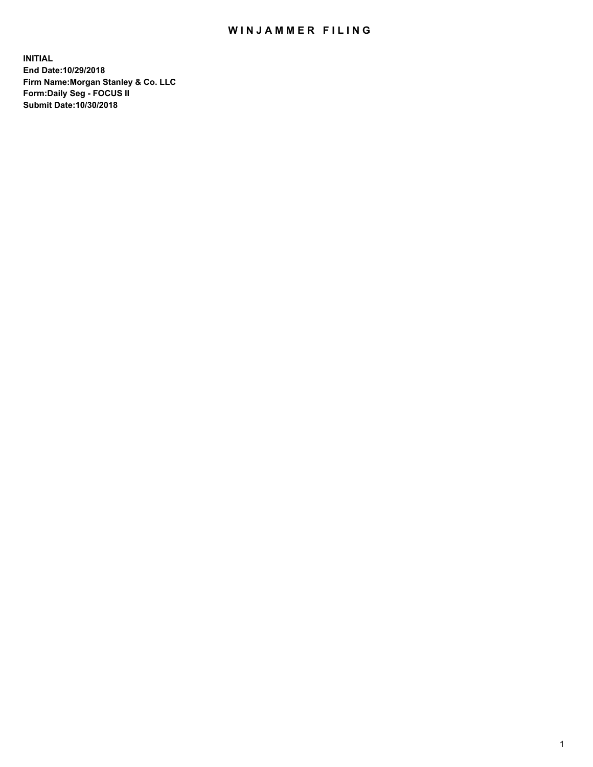## WIN JAMMER FILING

**INITIAL End Date:10/29/2018 Firm Name:Morgan Stanley & Co. LLC Form:Daily Seg - FOCUS II Submit Date:10/30/2018**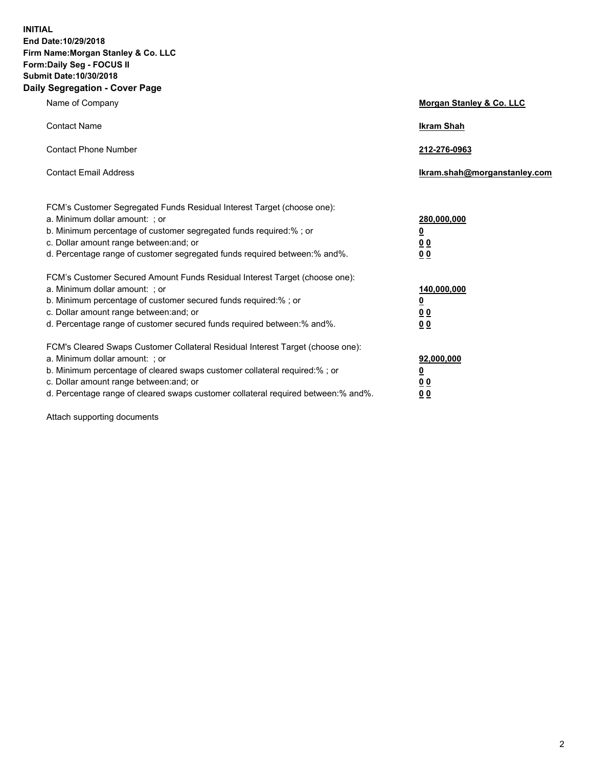**INITIAL End Date:10/29/2018 Firm Name:Morgan Stanley & Co. LLC Form:Daily Seg - FOCUS II Submit Date:10/30/2018 Daily Segregation - Cover Page**

| Name of Company                                                                                                                                                                                                                                                                                                                | Morgan Stanley & Co. LLC                               |
|--------------------------------------------------------------------------------------------------------------------------------------------------------------------------------------------------------------------------------------------------------------------------------------------------------------------------------|--------------------------------------------------------|
| <b>Contact Name</b>                                                                                                                                                                                                                                                                                                            | <b>Ikram Shah</b>                                      |
| <b>Contact Phone Number</b>                                                                                                                                                                                                                                                                                                    | 212-276-0963                                           |
| <b>Contact Email Address</b>                                                                                                                                                                                                                                                                                                   | lkram.shah@morganstanley.com                           |
| FCM's Customer Segregated Funds Residual Interest Target (choose one):<br>a. Minimum dollar amount: : or<br>b. Minimum percentage of customer segregated funds required:% ; or<br>c. Dollar amount range between: and; or<br>d. Percentage range of customer segregated funds required between:% and%.                         | 280,000,000<br><u>0</u><br>00<br>00                    |
| FCM's Customer Secured Amount Funds Residual Interest Target (choose one):<br>a. Minimum dollar amount: ; or<br>b. Minimum percentage of customer secured funds required:%; or<br>c. Dollar amount range between: and; or<br>d. Percentage range of customer secured funds required between:% and%.                            | 140,000,000<br><u>0</u><br><u>00</u><br>0 <sub>0</sub> |
| FCM's Cleared Swaps Customer Collateral Residual Interest Target (choose one):<br>a. Minimum dollar amount: ; or<br>b. Minimum percentage of cleared swaps customer collateral required:% ; or<br>c. Dollar amount range between: and; or<br>d. Percentage range of cleared swaps customer collateral required between:% and%. | 92,000,000<br><u>0</u><br><u>00</u><br>0 <sub>0</sub>  |

Attach supporting documents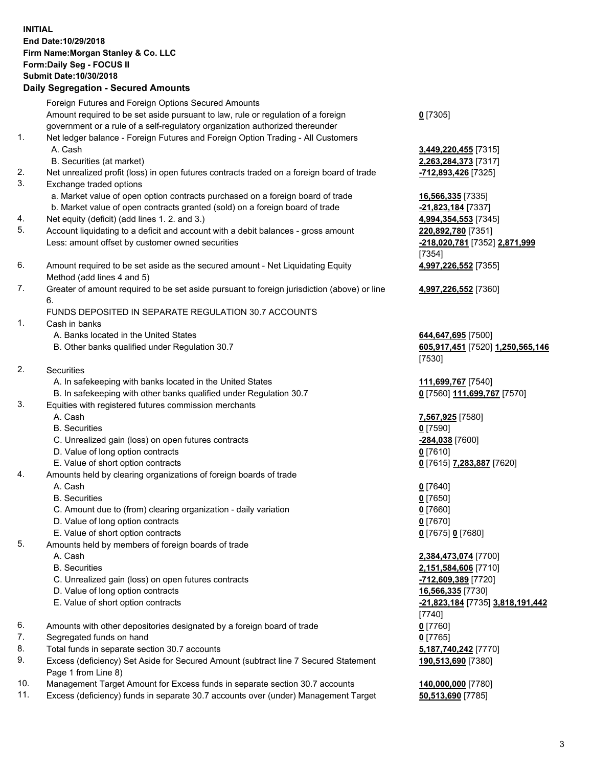## **INITIAL End Date:10/29/2018 Firm Name:Morgan Stanley & Co. LLC Form:Daily Seg - FOCUS II Submit Date:10/30/2018**

## **Daily Segregation - Secured Amounts**

Foreign Futures and Foreign Options Secured Amounts Amount required to be set aside pursuant to law, rule or regulation of a foreign government or a rule of a self-regulatory organization authorized thereunder 1. Net ledger balance - Foreign Futures and Foreign Option Trading - All Customers

- A. Cash **3,449,220,455** [7315] B. Securities (at market) **2,263,284,373** [7317]
	-
- 2. Net unrealized profit (loss) in open futures contracts traded on a foreign board of trade **-712,893,426** [7325]
- 3. Exchange traded options
	- a. Market value of open option contracts purchased on a foreign board of trade **16,566,335** [7335]
	- b. Market value of open contracts granted (sold) on a foreign board of trade **-21,823,184** [7337]
- 4. Net equity (deficit) (add lines 1. 2. and 3.) **4,994,354,553** [7345]
- 5. Account liquidating to a deficit and account with a debit balances gross amount **220,892,780** [7351] Less: amount offset by customer owned securities **-218,020,781** [7352] **2,871,999**
- 6. Amount required to be set aside as the secured amount Net Liquidating Equity Method (add lines 4 and 5)
- 7. Greater of amount required to be set aside pursuant to foreign jurisdiction (above) or line 6.

## FUNDS DEPOSITED IN SEPARATE REGULATION 30.7 ACCOUNTS

- 1. Cash in banks
	- A. Banks located in the United States **644,647,695** [7500]
	- B. Other banks qualified under Regulation 30.7 **605,917,451** [7520] **1,250,565,146**
- 2. Securities
	- A. In safekeeping with banks located in the United States **111,699,767** [7540]
	- B. In safekeeping with other banks qualified under Regulation 30.7 **0** [7560] **111,699,767** [7570]
- 3. Equities with registered futures commission merchants
	-
	- B. Securities **0** [7590]
	- C. Unrealized gain (loss) on open futures contracts **-284,038** [7600]
	- D. Value of long option contracts **0** [7610]
- E. Value of short option contracts **0** [7615] **7,283,887** [7620]
- 4. Amounts held by clearing organizations of foreign boards of trade
	- A. Cash **0** [7640]
	- B. Securities **0** [7650]
	- C. Amount due to (from) clearing organization daily variation **0** [7660]
	- D. Value of long option contracts **0** [7670]
	- E. Value of short option contracts **0** [7675] **0** [7680]
- 5. Amounts held by members of foreign boards of trade
	-
	-
	- C. Unrealized gain (loss) on open futures contracts **-712,609,389** [7720]
	- D. Value of long option contracts **16,566,335** [7730]
	- E. Value of short option contracts **-21,823,184** [7735] **3,818,191,442**
- 6. Amounts with other depositories designated by a foreign board of trade **0** [7760]
- 7. Segregated funds on hand **0** [7765]
- 8. Total funds in separate section 30.7 accounts **5,187,740,242** [7770]
- 9. Excess (deficiency) Set Aside for Secured Amount (subtract line 7 Secured Statement Page 1 from Line 8)
- 10. Management Target Amount for Excess funds in separate section 30.7 accounts **140,000,000** [7780]
- 11. Excess (deficiency) funds in separate 30.7 accounts over (under) Management Target **50,513,690** [7785]

**0** [7305]

[7354] **4,997,226,552** [7355]

**4,997,226,552** [7360]

[7530]

A. Cash **7,567,925** [7580]

 A. Cash **2,384,473,074** [7700] B. Securities **2,151,584,606** [7710] [7740] **190,513,690** [7380]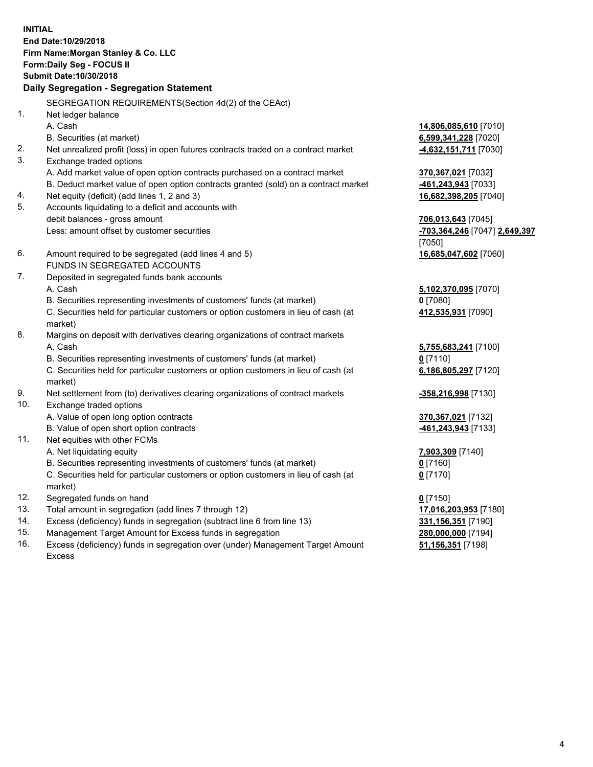**INITIAL End Date:10/29/2018 Firm Name:Morgan Stanley & Co. LLC Form:Daily Seg - FOCUS II Submit Date:10/30/2018 Daily Segregation - Segregation Statement** SEGREGATION REQUIREMENTS(Section 4d(2) of the CEAct) 1. Net ledger balance A. Cash **14,806,085,610** [7010] B. Securities (at market) **6,599,341,228** [7020] 2. Net unrealized profit (loss) in open futures contracts traded on a contract market **-4,632,151,711** [7030] 3. Exchange traded options A. Add market value of open option contracts purchased on a contract market **370,367,021** [7032] B. Deduct market value of open option contracts granted (sold) on a contract market **-461,243,943** [7033] 4. Net equity (deficit) (add lines 1, 2 and 3) **16,682,398,205** [7040] 5. Accounts liquidating to a deficit and accounts with debit balances - gross amount **706,013,643** [7045] Less: amount offset by customer securities **-703,364,246** [7047] **2,649,397** [7050] 6. Amount required to be segregated (add lines 4 and 5) **16,685,047,602** [7060] FUNDS IN SEGREGATED ACCOUNTS 7. Deposited in segregated funds bank accounts A. Cash **5,102,370,095** [7070] B. Securities representing investments of customers' funds (at market) **0** [7080] C. Securities held for particular customers or option customers in lieu of cash (at market) **412,535,931** [7090] 8. Margins on deposit with derivatives clearing organizations of contract markets A. Cash **5,755,683,241** [7100] B. Securities representing investments of customers' funds (at market) **0** [7110] C. Securities held for particular customers or option customers in lieu of cash (at market) **6,186,805,297** [7120] 9. Net settlement from (to) derivatives clearing organizations of contract markets **-358,216,998** [7130] 10. Exchange traded options A. Value of open long option contracts **370,367,021** [7132] B. Value of open short option contracts **-461,243,943** [7133] 11. Net equities with other FCMs A. Net liquidating equity **7,903,309** [7140] B. Securities representing investments of customers' funds (at market) **0** [7160] C. Securities held for particular customers or option customers in lieu of cash (at market) **0** [7170] 12. Segregated funds on hand **0** [7150] 13. Total amount in segregation (add lines 7 through 12) **17,016,203,953** [7180] 14. Excess (deficiency) funds in segregation (subtract line 6 from line 13) **331,156,351** [7190]

- 15. Management Target Amount for Excess funds in segregation **280,000,000** [7194]
- 16. Excess (deficiency) funds in segregation over (under) Management Target Amount Excess

**51,156,351** [7198]